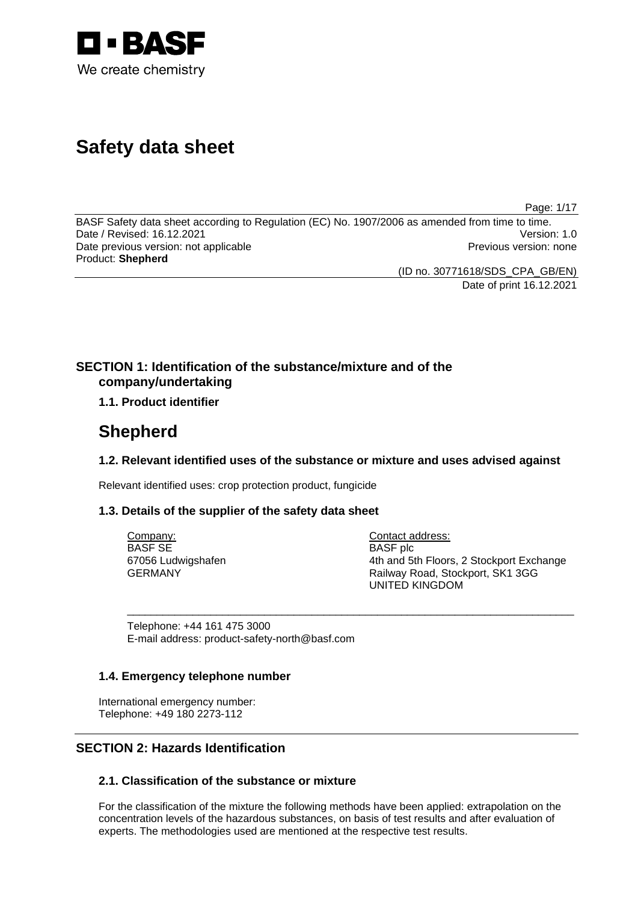

# **Safety data sheet**

Page: 1/17

BASF Safety data sheet according to Regulation (EC) No. 1907/2006 as amended from time to time. Date / Revised: 16.12.2021 Version: 1.0 Date previous version: not applicable **Previous version: none** Previous version: none Product: **Shepherd** 

(ID no. 30771618/SDS\_CPA\_GB/EN)

Date of print 16.12.2021

# **SECTION 1: Identification of the substance/mixture and of the company/undertaking**

# **1.1. Product identifier**

# **Shepherd**

# **1.2. Relevant identified uses of the substance or mixture and uses advised against**

\_\_\_\_\_\_\_\_\_\_\_\_\_\_\_\_\_\_\_\_\_\_\_\_\_\_\_\_\_\_\_\_\_\_\_\_\_\_\_\_\_\_\_\_\_\_\_\_\_\_\_\_\_\_\_\_\_\_\_\_\_\_\_\_\_\_\_\_\_\_\_\_\_\_\_

Relevant identified uses: crop protection product, fungicide

# **1.3. Details of the supplier of the safety data sheet**

Company: BASF SE 67056 Ludwigshafen GERMANY

Contact address: BASF plc 4th and 5th Floors, 2 Stockport Exchange Railway Road, Stockport, SK1 3GG UNITED KINGDOM

Telephone: +44 161 475 3000 E-mail address: product-safety-north@basf.com

# **1.4. Emergency telephone number**

International emergency number: Telephone: +49 180 2273-112

# **SECTION 2: Hazards Identification**

# **2.1. Classification of the substance or mixture**

For the classification of the mixture the following methods have been applied: extrapolation on the concentration levels of the hazardous substances, on basis of test results and after evaluation of experts. The methodologies used are mentioned at the respective test results.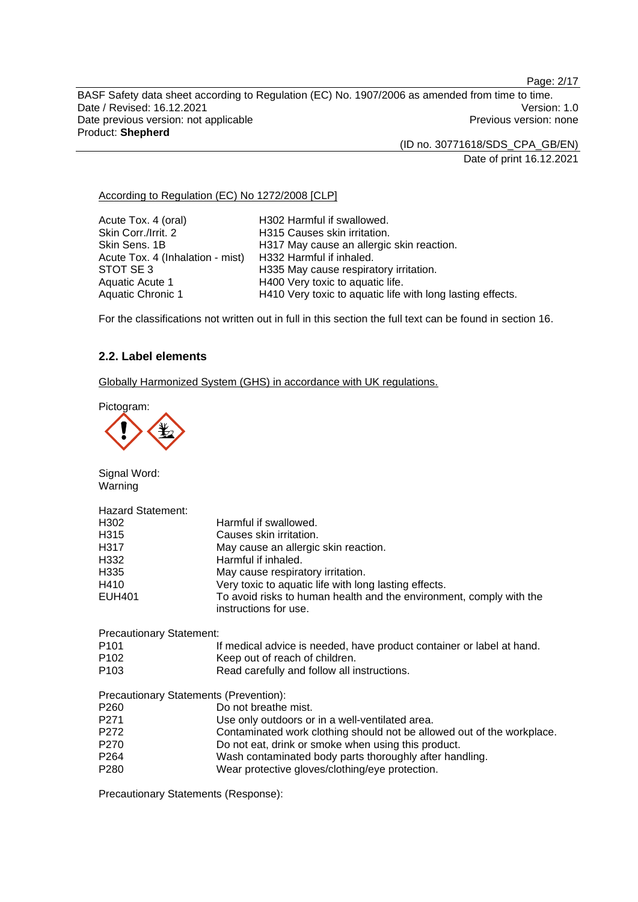Page: 2/17

BASF Safety data sheet according to Regulation (EC) No. 1907/2006 as amended from time to time. Date / Revised: 16.12.2021 **Version: 1.0** Date previous version: not applicable **Previous version: none** Previous version: none Product: **Shepherd** 

(ID no. 30771618/SDS\_CPA\_GB/EN)

Date of print 16.12.2021

#### According to Regulation (EC) No 1272/2008 [CLP]

| Acute Tox. 4 (oral)              | H302 Harmful if swallowed.                                 |
|----------------------------------|------------------------------------------------------------|
| Skin Corr./Irrit. 2              | H315 Causes skin irritation.                               |
| Skin Sens, 1B                    | H317 May cause an allergic skin reaction.                  |
| Acute Tox. 4 (Inhalation - mist) | H332 Harmful if inhaled.                                   |
| STOT SE3                         | H335 May cause respiratory irritation.                     |
| Aquatic Acute 1                  | H400 Very toxic to aquatic life.                           |
| Aquatic Chronic 1                | H410 Very toxic to aquatic life with long lasting effects. |

For the classifications not written out in full in this section the full text can be found in section 16.

# **2.2. Label elements**

Globally Harmonized System (GHS) in accordance with UK regulations.

Pictogram:



Signal Word: Warning

| <b>Hazard Statement:</b> |                                                                                              |
|--------------------------|----------------------------------------------------------------------------------------------|
| H302                     | Harmful if swallowed.                                                                        |
| H315                     | Causes skin irritation.                                                                      |
| H317                     | May cause an allergic skin reaction.                                                         |
| H332                     | Harmful if inhaled.                                                                          |
| H <sub>335</sub>         | May cause respiratory irritation.                                                            |
| H410                     | Very toxic to aquatic life with long lasting effects.                                        |
| <b>EUH401</b>            | To avoid risks to human health and the environment, comply with the<br>instructions for use. |
|                          |                                                                                              |

Precautionary Statement: P101 **If medical advice is needed, have product container or label at hand.** P102 Keep out of reach of children. P103 Read carefully and follow all instructions. Precautionary Statements (Prevention): P260 Do not breathe mist.<br>P271 Use only outdoors or P271 Use only outdoors or in a well-ventilated area.<br>
P272 Contaminated work clothing should not be allo P272 Contaminated work clothing should not be allowed out of the workplace.<br>P270 Do not eat, drink or smoke when using this product. Do not eat, drink or smoke when using this product. P264 Wash contaminated body parts thoroughly after handling.<br>P280 Wear protective gloves/clothing/eve protection. Wear protective gloves/clothing/eye protection.

Precautionary Statements (Response):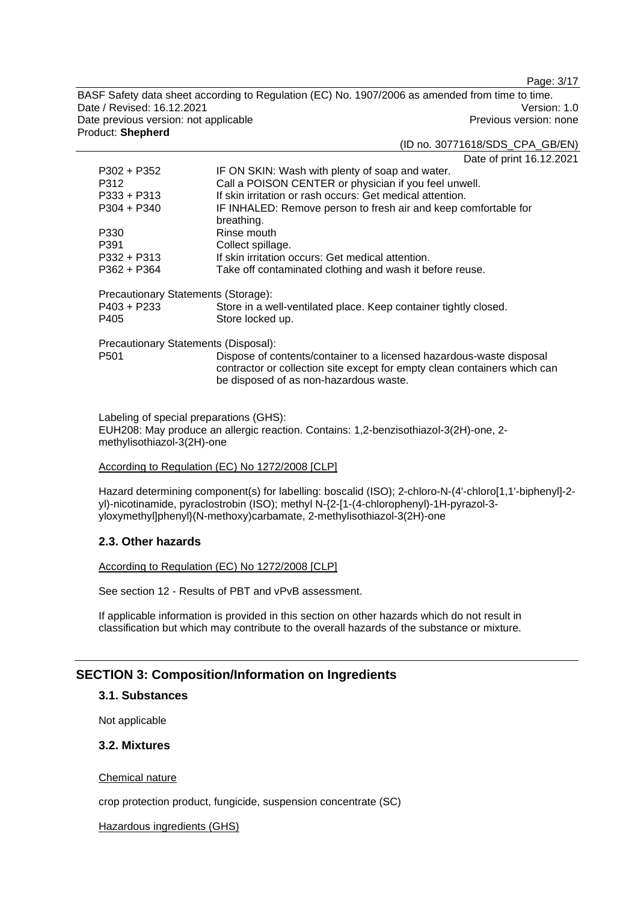Page: 3/17

BASF Safety data sheet according to Regulation (EC) No. 1907/2006 as amended from time to time. Date / Revised: 16.12.2021 Version: 1.0 Date previous version: not applicable **Previous version: none** Previous version: none Product: **Shepherd** 

#### (ID no. 30771618/SDS\_CPA\_GB/EN)

Date of print 16.12.2021

| P302 + P352                                                | IF ON SKIN: Wash with plenty of soap and water.                                                                                                                                             |
|------------------------------------------------------------|---------------------------------------------------------------------------------------------------------------------------------------------------------------------------------------------|
| P312                                                       | Call a POISON CENTER or physician if you feel unwell.                                                                                                                                       |
| $P333 + P313$                                              | If skin irritation or rash occurs: Get medical attention.                                                                                                                                   |
| $P304 + P340$                                              | IF INHALED: Remove person to fresh air and keep comfortable for                                                                                                                             |
|                                                            | breathing.                                                                                                                                                                                  |
| P330                                                       | Rinse mouth                                                                                                                                                                                 |
| P391                                                       | Collect spillage.                                                                                                                                                                           |
| P332 + P313                                                | If skin irritation occurs: Get medical attention.                                                                                                                                           |
| $P362 + P364$                                              | Take off contaminated clothing and wash it before reuse.                                                                                                                                    |
| Precautionary Statements (Storage):<br>P403 + P233<br>P405 | Store in a well-ventilated place. Keep container tightly closed.<br>Store locked up.                                                                                                        |
| Precautionary Statements (Disposal):                       |                                                                                                                                                                                             |
| P <sub>501</sub>                                           | Dispose of contents/container to a licensed hazardous-waste disposal<br>contractor or collection site except for empty clean containers which can<br>be disposed of as non-hazardous waste. |

Labeling of special preparations (GHS): EUH208: May produce an allergic reaction. Contains: 1,2-benzisothiazol-3(2H)-one, 2 methylisothiazol-3(2H)-one

#### According to Regulation (EC) No 1272/2008 [CLP]

Hazard determining component(s) for labelling: boscalid (ISO); 2-chloro-N-(4'-chloro[1,1'-biphenyl]-2 yl)-nicotinamide, pyraclostrobin (ISO); methyl N-{2-[1-(4-chlorophenyl)-1H-pyrazol-3 yloxymethyl]phenyl}(N-methoxy)carbamate, 2-methylisothiazol-3(2H)-one

# **2.3. Other hazards**

#### According to Regulation (EC) No 1272/2008 [CLP]

See section 12 - Results of PBT and vPvB assessment.

If applicable information is provided in this section on other hazards which do not result in classification but which may contribute to the overall hazards of the substance or mixture.

# **SECTION 3: Composition/Information on Ingredients**

# **3.1. Substances**

Not applicable

# **3.2. Mixtures**

Chemical nature

crop protection product, fungicide, suspension concentrate (SC)

#### Hazardous ingredients (GHS)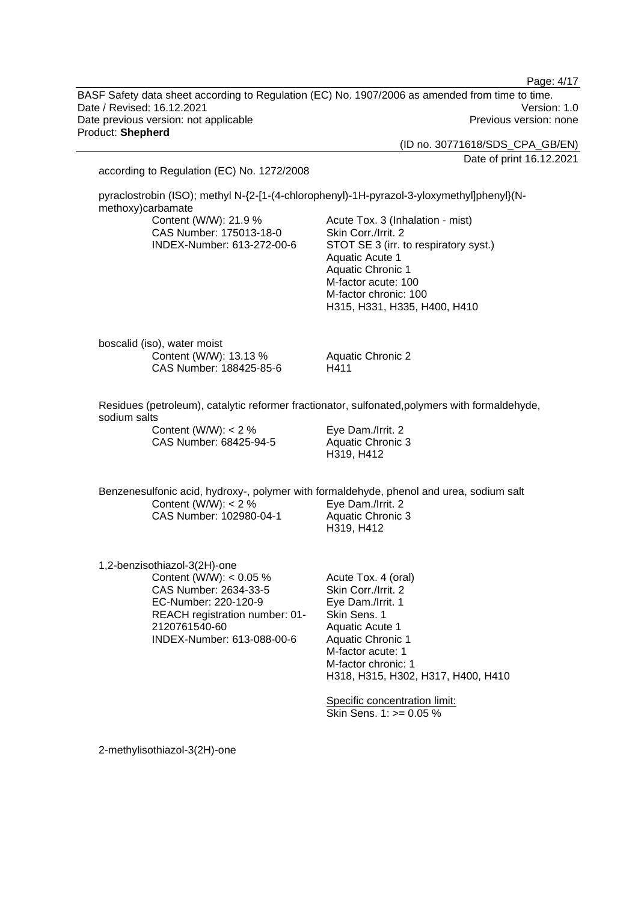BASF Safety data sheet according to Regulation (EC) No. 1907/2006 as amended from time to time. Date / Revised: 16.12.2021 Version: 1.0 Date previous version: not applicable example and the Previous version: none Product: **Shepherd** 

(ID no. 30771618/SDS\_CPA\_GB/EN)

Date of print 16.12.2021

Page: 4/17

according to Regulation (EC) No. 1272/2008 pyraclostrobin (ISO); methyl N-{2-[1-(4-chlorophenyl)-1H-pyrazol-3-yloxymethyllphenyl}(Nmethoxy)carbamate Content (W/W): 21.9 % CAS Number: 175013-18-0 INDEX-Number: 613-272-00-6 Acute Tox. 3 (Inhalation - mist) Skin Corr./Irrit. 2 STOT SE 3 (irr. to respiratory syst.) Aquatic Acute 1 Aquatic Chronic 1 M-factor acute: 100 M-factor chronic: 100 H315, H331, H335, H400, H410 boscalid (iso), water moist Content (W/W): 13.13 % CAS Number: 188425-85-6 Aquatic Chronic 2 H411 Residues (petroleum), catalytic reformer fractionator, sulfonated,polymers with formaldehyde, sodium salts Content (W/W):  $< 2 \%$ CAS Number: 68425-94-5 Eye Dam./Irrit. 2 Aquatic Chronic 3 H319, H412 Benzenesulfonic acid, hydroxy-, polymer with formaldehyde, phenol and urea, sodium salt Content (W/W):  $< 2 \%$ CAS Number: 102980-04-1 Eye Dam./Irrit. 2 Aquatic Chronic 3 H319, H412 1,2-benzisothiazol-3(2H)-one Content (W/W): < 0.05 % CAS Number: 2634-33-5 EC-Number: 220-120-9 REACH registration number: 01- 2120761540-60 INDEX-Number: 613-088-00-6 Acute Tox. 4 (oral) Skin Corr./Irrit. 2 Eye Dam./Irrit. 1 Skin Sens. 1 Aquatic Acute 1 Aquatic Chronic 1 M-factor acute: 1 M-factor chronic: 1 H318, H315, H302, H317, H400, H410 Specific concentration limit: Skin Sens. 1: >= 0.05 %

2-methylisothiazol-3(2H)-one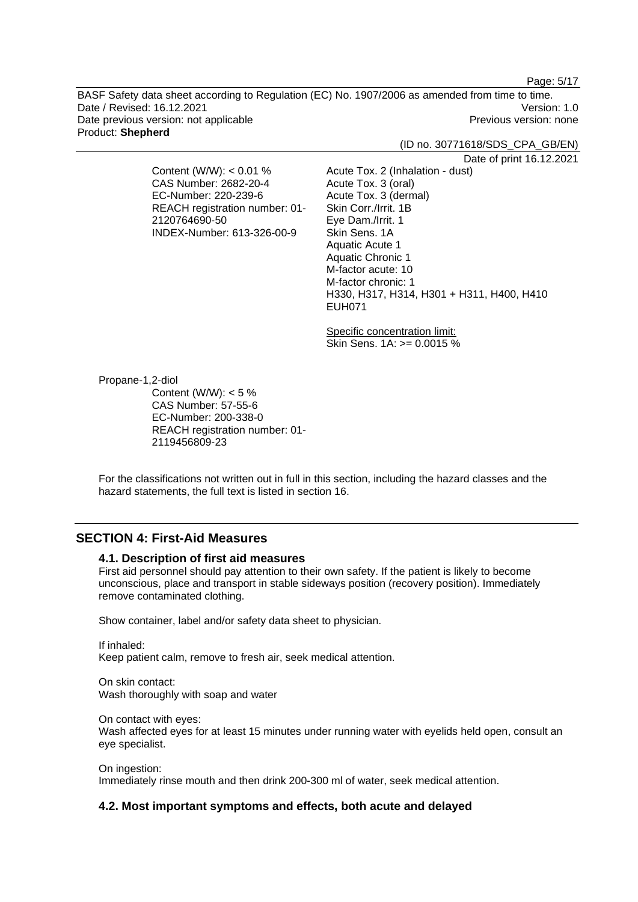Page: 5/17

BASF Safety data sheet according to Regulation (EC) No. 1907/2006 as amended from time to time. Date / Revised: 16.12.2021 Version: 1.0 Date previous version: not applicable example and the Previous version: none Product: **Shepherd** 

(ID no. 30771618/SDS\_CPA\_GB/EN)

Date of print 16.12.2021

Content (W/W): < 0.01 % CAS Number: 2682-20-4 EC-Number: 220-239-6 REACH registration number: 01- 2120764690-50 INDEX-Number: 613-326-00-9

Acute Tox. 2 (Inhalation - dust) Acute Tox. 3 (oral) Acute Tox. 3 (dermal) Skin Corr./Irrit. 1B Eye Dam./Irrit. 1 Skin Sens. 1A Aquatic Acute 1 Aquatic Chronic 1 M-factor acute: 10 M-factor chronic: 1 H330, H317, H314, H301 + H311, H400, H410 EUH071

Specific concentration limit: Skin Sens. 1A: >= 0.0015 %

Propane-1,2-diol

Content (W/W):  $< 5 \%$ CAS Number: 57-55-6 EC-Number: 200-338-0 REACH registration number: 01- 2119456809-23

For the classifications not written out in full in this section, including the hazard classes and the hazard statements, the full text is listed in section 16.

# **SECTION 4: First-Aid Measures**

# **4.1. Description of first aid measures**

First aid personnel should pay attention to their own safety. If the patient is likely to become unconscious, place and transport in stable sideways position (recovery position). Immediately remove contaminated clothing.

Show container, label and/or safety data sheet to physician.

If inhaled: Keep patient calm, remove to fresh air, seek medical attention.

On skin contact: Wash thoroughly with soap and water

On contact with eyes: Wash affected eyes for at least 15 minutes under running water with eyelids held open, consult an eye specialist.

On ingestion: Immediately rinse mouth and then drink 200-300 ml of water, seek medical attention.

#### **4.2. Most important symptoms and effects, both acute and delayed**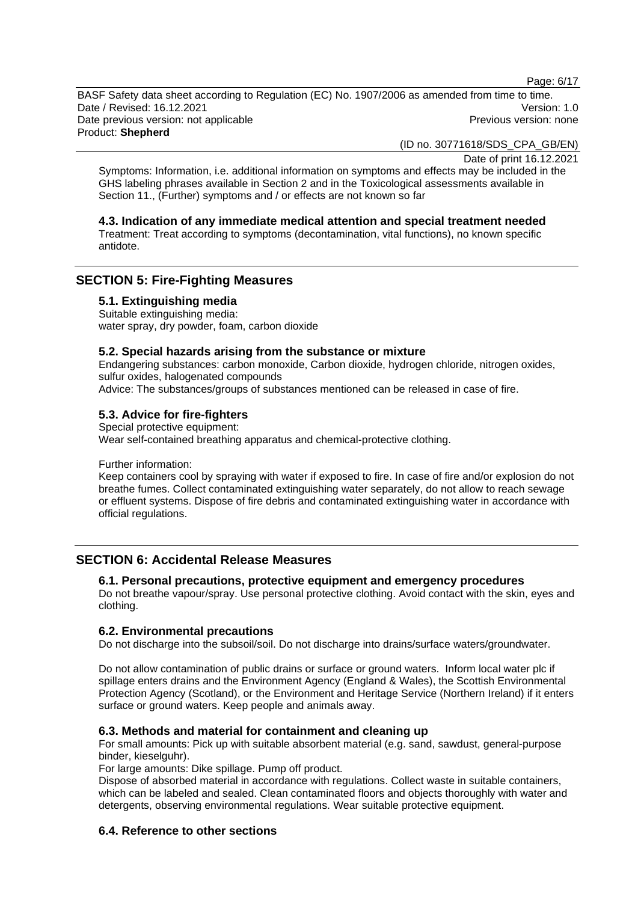Page: 6/17

BASF Safety data sheet according to Regulation (EC) No. 1907/2006 as amended from time to time. Date / Revised: 16.12.2021 Version: 1.0 Date previous version: not applicable example and the Previous version: none Product: **Shepherd** 

(ID no. 30771618/SDS\_CPA\_GB/EN)

Date of print 16.12.2021

Symptoms: Information, i.e. additional information on symptoms and effects may be included in the GHS labeling phrases available in Section 2 and in the Toxicological assessments available in Section 11., (Further) symptoms and / or effects are not known so far

# **4.3. Indication of any immediate medical attention and special treatment needed**

Treatment: Treat according to symptoms (decontamination, vital functions), no known specific antidote.

# **SECTION 5: Fire-Fighting Measures**

**5.1. Extinguishing media** 

Suitable extinguishing media: water spray, dry powder, foam, carbon dioxide

### **5.2. Special hazards arising from the substance or mixture**

Endangering substances: carbon monoxide, Carbon dioxide, hydrogen chloride, nitrogen oxides, sulfur oxides, halogenated compounds

Advice: The substances/groups of substances mentioned can be released in case of fire.

# **5.3. Advice for fire-fighters**

Special protective equipment: Wear self-contained breathing apparatus and chemical-protective clothing.

Further information:

Keep containers cool by spraying with water if exposed to fire. In case of fire and/or explosion do not breathe fumes. Collect contaminated extinguishing water separately, do not allow to reach sewage or effluent systems. Dispose of fire debris and contaminated extinguishing water in accordance with official regulations.

# **SECTION 6: Accidental Release Measures**

# **6.1. Personal precautions, protective equipment and emergency procedures**

Do not breathe vapour/spray. Use personal protective clothing. Avoid contact with the skin, eyes and clothing.

#### **6.2. Environmental precautions**

Do not discharge into the subsoil/soil. Do not discharge into drains/surface waters/groundwater.

Do not allow contamination of public drains or surface or ground waters. Inform local water plc if spillage enters drains and the Environment Agency (England & Wales), the Scottish Environmental Protection Agency (Scotland), or the Environment and Heritage Service (Northern Ireland) if it enters surface or ground waters. Keep people and animals away.

#### **6.3. Methods and material for containment and cleaning up**

For small amounts: Pick up with suitable absorbent material (e.g. sand, sawdust, general-purpose binder, kieselguhr).

For large amounts: Dike spillage. Pump off product.

Dispose of absorbed material in accordance with regulations. Collect waste in suitable containers, which can be labeled and sealed. Clean contaminated floors and objects thoroughly with water and detergents, observing environmental regulations. Wear suitable protective equipment.

# **6.4. Reference to other sections**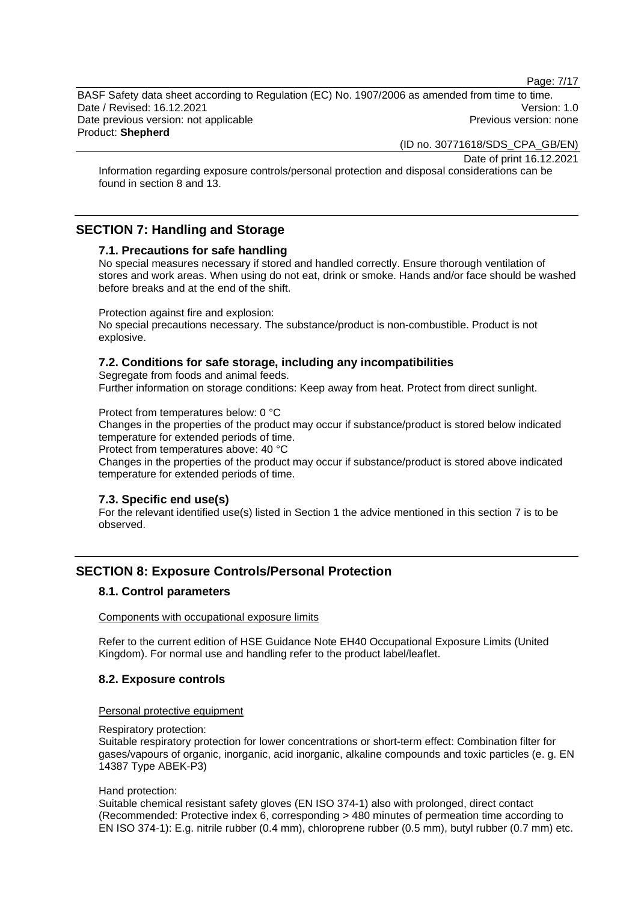Page: 7/17

BASF Safety data sheet according to Regulation (EC) No. 1907/2006 as amended from time to time. Date / Revised: 16.12.2021 Version: 1.0 Date previous version: not applicable example and previous version: none Previous version: none Product: **Shepherd** 

(ID no. 30771618/SDS\_CPA\_GB/EN)

Date of print 16.12.2021

Information regarding exposure controls/personal protection and disposal considerations can be found in section 8 and 13.

# **SECTION 7: Handling and Storage**

### **7.1. Precautions for safe handling**

No special measures necessary if stored and handled correctly. Ensure thorough ventilation of stores and work areas. When using do not eat, drink or smoke. Hands and/or face should be washed before breaks and at the end of the shift.

Protection against fire and explosion:

No special precautions necessary. The substance/product is non-combustible. Product is not explosive.

# **7.2. Conditions for safe storage, including any incompatibilities**

Segregate from foods and animal feeds.

Further information on storage conditions: Keep away from heat. Protect from direct sunlight.

Protect from temperatures below: 0 °C

Changes in the properties of the product may occur if substance/product is stored below indicated temperature for extended periods of time.

Protect from temperatures above: 40 °C

Changes in the properties of the product may occur if substance/product is stored above indicated temperature for extended periods of time.

#### **7.3. Specific end use(s)**

For the relevant identified use(s) listed in Section 1 the advice mentioned in this section 7 is to be observed.

# **SECTION 8: Exposure Controls/Personal Protection**

#### **8.1. Control parameters**

Components with occupational exposure limits

Refer to the current edition of HSE Guidance Note EH40 Occupational Exposure Limits (United Kingdom). For normal use and handling refer to the product label/leaflet.

#### **8.2. Exposure controls**

#### Personal protective equipment

Respiratory protection:

Suitable respiratory protection for lower concentrations or short-term effect: Combination filter for gases/vapours of organic, inorganic, acid inorganic, alkaline compounds and toxic particles (e. g. EN 14387 Type ABEK-P3)

#### Hand protection:

Suitable chemical resistant safety gloves (EN ISO 374-1) also with prolonged, direct contact (Recommended: Protective index 6, corresponding > 480 minutes of permeation time according to EN ISO 374-1): E.g. nitrile rubber (0.4 mm), chloroprene rubber (0.5 mm), butyl rubber (0.7 mm) etc.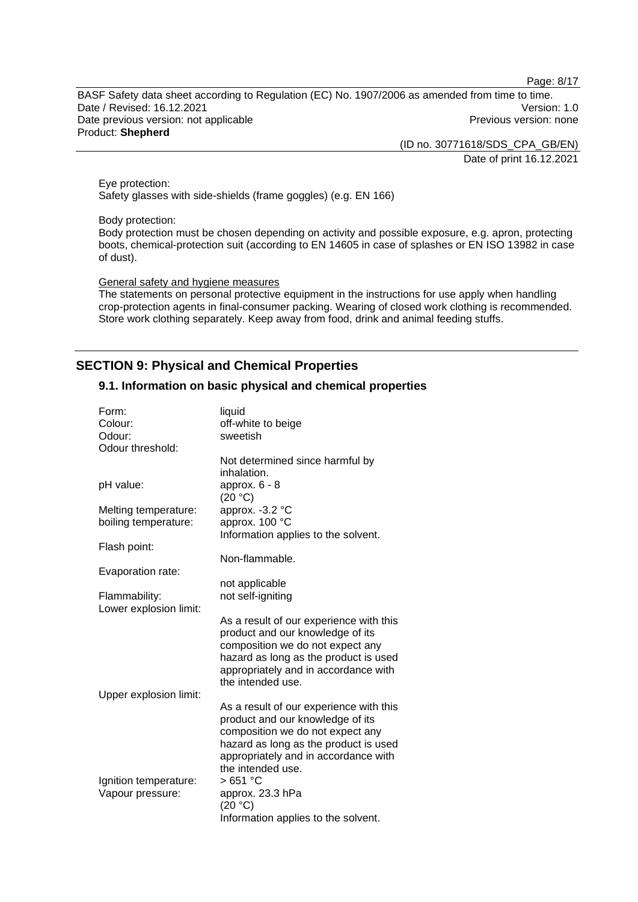Page: 8/17

BASF Safety data sheet according to Regulation (EC) No. 1907/2006 as amended from time to time. Date / Revised: 16.12.2021 Version: 1.0 Date previous version: not applicable **Previous version: none** Previous version: none Product: **Shepherd** 

(ID no. 30771618/SDS\_CPA\_GB/EN)

Date of print 16.12.2021

Eye protection: Safety glasses with side-shields (frame goggles) (e.g. EN 166)

Body protection:

Body protection must be chosen depending on activity and possible exposure, e.g. apron, protecting boots, chemical-protection suit (according to EN 14605 in case of splashes or EN ISO 13982 in case of dust).

General safety and hygiene measures

The statements on personal protective equipment in the instructions for use apply when handling crop-protection agents in final-consumer packing. Wearing of closed work clothing is recommended. Store work clothing separately. Keep away from food, drink and animal feeding stuffs.

# **SECTION 9: Physical and Chemical Properties**

### **9.1. Information on basic physical and chemical properties**

| Form:                                   | liquid                                  |
|-----------------------------------------|-----------------------------------------|
| Colour:                                 | off-white to beige                      |
| Odour:                                  | sweetish                                |
| Odour threshold:                        |                                         |
|                                         | Not determined since harmful by         |
|                                         | inhalation.                             |
| pH value:                               | approx. $6 - 8$                         |
|                                         | (20 °C)                                 |
| Melting temperature:                    | approx. -3.2 °C                         |
| boiling temperature:                    | approx. 100 °C                          |
|                                         | Information applies to the solvent.     |
| Flash point:                            |                                         |
|                                         | Non-flammable.                          |
| Evaporation rate:                       |                                         |
|                                         | not applicable<br>not self-igniting     |
| Flammability:<br>Lower explosion limit: |                                         |
|                                         | As a result of our experience with this |
|                                         | product and our knowledge of its        |
|                                         | composition we do not expect any        |
|                                         | hazard as long as the product is used   |
|                                         | appropriately and in accordance with    |
|                                         | the intended use.                       |
| Upper explosion limit:                  |                                         |
|                                         | As a result of our experience with this |
|                                         | product and our knowledge of its        |
|                                         | composition we do not expect any        |
|                                         | hazard as long as the product is used   |
|                                         | appropriately and in accordance with    |
|                                         | the intended use.                       |
| Ignition temperature:                   | >651 °C                                 |
| Vapour pressure:                        | approx. 23.3 hPa                        |
|                                         | (20 °C)                                 |
|                                         | Information applies to the solvent.     |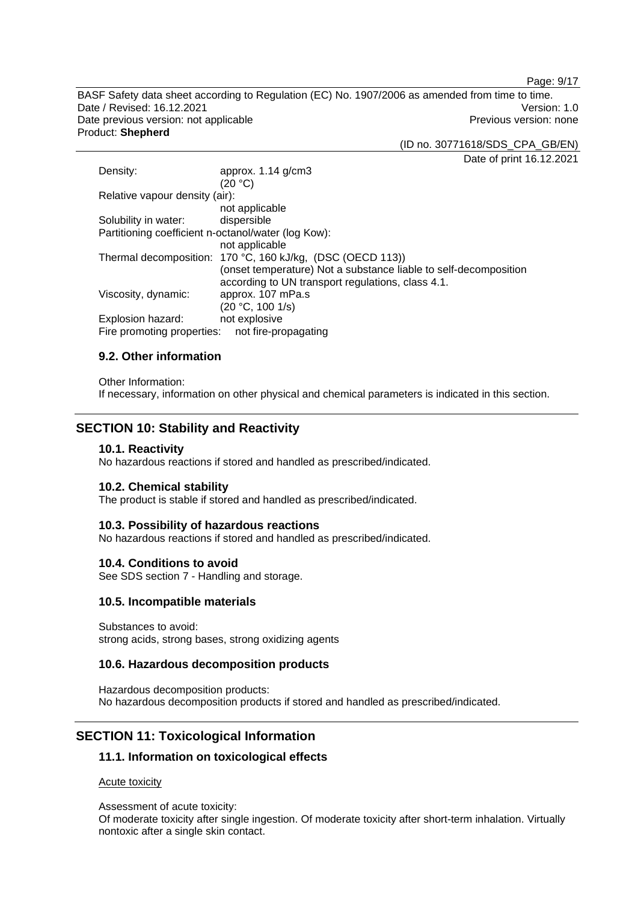Page: 9/17

BASF Safety data sheet according to Regulation (EC) No. 1907/2006 as amended from time to time. Date / Revised: 16.12.2021 Version: 1.0 Date previous version: not applicable **Previous version: none** Previous version: none Product: **Shepherd** 

(ID no. 30771618/SDS\_CPA\_GB/EN)

Date of print 16.12.2021

| Density:                                            | approx. $1.14$ g/cm3                                             |
|-----------------------------------------------------|------------------------------------------------------------------|
|                                                     | (20 °C)                                                          |
| Relative vapour density (air):                      |                                                                  |
|                                                     | not applicable                                                   |
| Solubility in water:                                | dispersible                                                      |
| Partitioning coefficient n-octanol/water (log Kow): |                                                                  |
|                                                     | not applicable                                                   |
|                                                     | Thermal decomposition: 170 °C, 160 kJ/kg, (DSC (OECD 113))       |
|                                                     | (onset temperature) Not a substance liable to self-decomposition |
|                                                     | according to UN transport regulations, class 4.1.                |
| Viscosity, dynamic:                                 | approx. 107 mPa.s                                                |
|                                                     | (20 °C, 100 1/s)                                                 |
| Explosion hazard:                                   | not explosive                                                    |
| Fire promoting properties:                          | not fire-propagating                                             |

# **9.2. Other information**

Other Information: If necessary, information on other physical and chemical parameters is indicated in this section.

# **SECTION 10: Stability and Reactivity**

#### **10.1. Reactivity**

No hazardous reactions if stored and handled as prescribed/indicated.

#### **10.2. Chemical stability**

The product is stable if stored and handled as prescribed/indicated.

#### **10.3. Possibility of hazardous reactions**

No hazardous reactions if stored and handled as prescribed/indicated.

#### **10.4. Conditions to avoid**

See SDS section 7 - Handling and storage.

#### **10.5. Incompatible materials**

Substances to avoid: strong acids, strong bases, strong oxidizing agents

# **10.6. Hazardous decomposition products**

Hazardous decomposition products: No hazardous decomposition products if stored and handled as prescribed/indicated.

# **SECTION 11: Toxicological Information**

# **11.1. Information on toxicological effects**

Acute toxicity

Assessment of acute toxicity:

Of moderate toxicity after single ingestion. Of moderate toxicity after short-term inhalation. Virtually nontoxic after a single skin contact.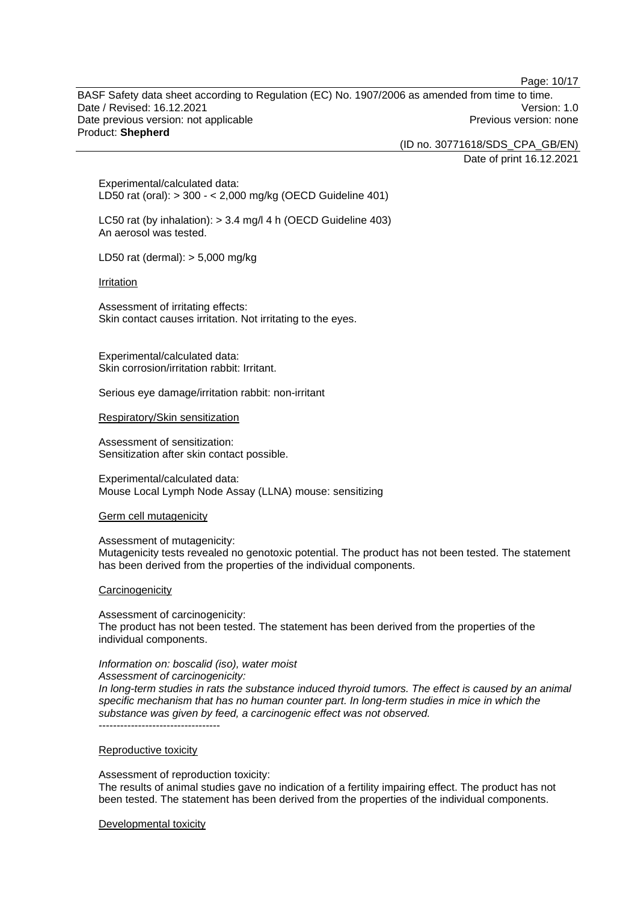Page: 10/17

BASF Safety data sheet according to Regulation (EC) No. 1907/2006 as amended from time to time. Date / Revised: 16.12.2021 Version: 1.0 Date previous version: not applicable example and the Previous version: none Product: **Shepherd** 

(ID no. 30771618/SDS\_CPA\_GB/EN)

Date of print 16.12.2021

Experimental/calculated data: LD50 rat (oral): > 300 - < 2,000 mg/kg (OECD Guideline 401)

LC50 rat (by inhalation): > 3.4 mg/l 4 h (OECD Guideline 403) An aerosol was tested.

LD50 rat (dermal): > 5,000 mg/kg

Irritation

Assessment of irritating effects: Skin contact causes irritation. Not irritating to the eyes.

Experimental/calculated data: Skin corrosion/irritation rabbit: Irritant.

Serious eye damage/irritation rabbit: non-irritant

Respiratory/Skin sensitization

Assessment of sensitization: Sensitization after skin contact possible.

Experimental/calculated data: Mouse Local Lymph Node Assay (LLNA) mouse: sensitizing

Germ cell mutagenicity

Assessment of mutagenicity:

Mutagenicity tests revealed no genotoxic potential. The product has not been tested. The statement has been derived from the properties of the individual components.

#### **Carcinogenicity**

Assessment of carcinogenicity:

The product has not been tested. The statement has been derived from the properties of the individual components.

*Information on: boscalid (iso), water moist*

*Assessment of carcinogenicity:* 

*In long-term studies in rats the substance induced thyroid tumors. The effect is caused by an animal specific mechanism that has no human counter part. In long-term studies in mice in which the substance was given by feed, a carcinogenic effect was not observed.*  -----------------------------------

#### Reproductive toxicity

Assessment of reproduction toxicity: The results of animal studies gave no indication of a fertility impairing effect. The product has not been tested. The statement has been derived from the properties of the individual components.

Developmental toxicity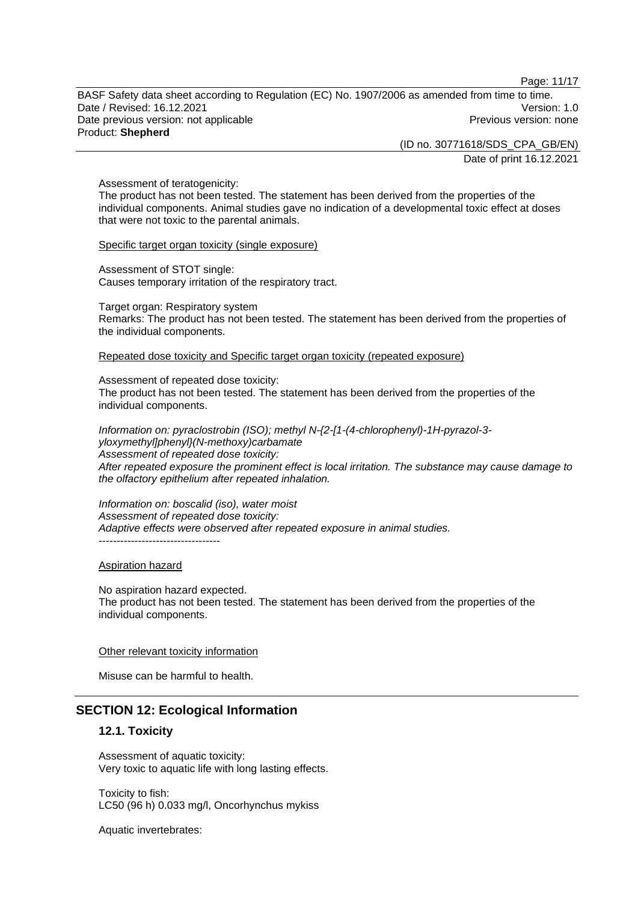Page: 11/17

BASF Safety data sheet according to Regulation (EC) No. 1907/2006 as amended from time to time. Date / Revised: 16.12.2021 Version: 1.0 Date previous version: not applicable example and previous version: none Previous version: none Product: **Shepherd** 

(ID no. 30771618/SDS\_CPA\_GB/EN)

Date of print 16.12.2021

Assessment of teratogenicity:

The product has not been tested. The statement has been derived from the properties of the individual components. Animal studies gave no indication of a developmental toxic effect at doses that were not toxic to the parental animals.

Specific target organ toxicity (single exposure)

Assessment of STOT single: Causes temporary irritation of the respiratory tract.

Target organ: Respiratory system Remarks: The product has not been tested. The statement has been derived from the properties of the individual components.

Repeated dose toxicity and Specific target organ toxicity (repeated exposure)

Assessment of repeated dose toxicity: The product has not been tested. The statement has been derived from the properties of the individual components.

*Information on: pyraclostrobin (ISO); methyl N-{2-[1-(4-chlorophenyl)-1H-pyrazol-3 yloxymethyl]phenyl}(N-methoxy)carbamate Assessment of repeated dose toxicity: After repeated exposure the prominent effect is local irritation. The substance may cause damage to the olfactory epithelium after repeated inhalation.* 

*Information on: boscalid (iso), water moist Assessment of repeated dose toxicity: Adaptive effects were observed after repeated exposure in animal studies.*  -----------------------------------

Aspiration hazard

No aspiration hazard expected. The product has not been tested. The statement has been derived from the properties of the individual components.

Other relevant toxicity information

Misuse can be harmful to health.

# **SECTION 12: Ecological Information**

# **12.1. Toxicity**

Assessment of aquatic toxicity: Very toxic to aquatic life with long lasting effects.

Toxicity to fish: LC50 (96 h) 0.033 mg/l, Oncorhynchus mykiss

Aquatic invertebrates: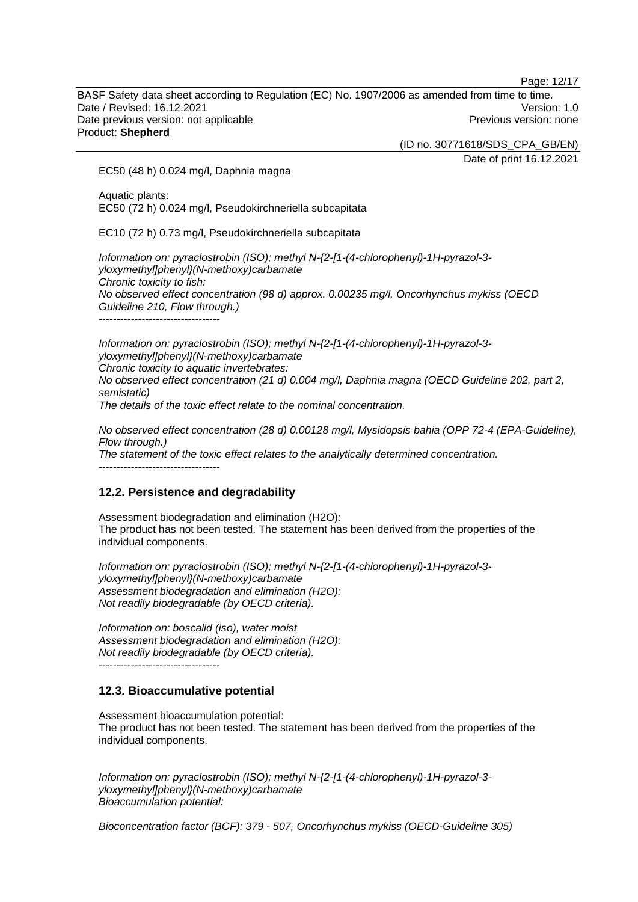Page: 12/17

BASF Safety data sheet according to Regulation (EC) No. 1907/2006 as amended from time to time. Date / Revised: 16.12.2021 Version: 1.0 Date previous version: not applicable example and the Previous version: none Product: **Shepherd** 

(ID no. 30771618/SDS\_CPA\_GB/EN)

Date of print 16.12.2021

EC50 (48 h) 0.024 mg/l, Daphnia magna

Aquatic plants: EC50 (72 h) 0.024 mg/l, Pseudokirchneriella subcapitata

EC10 (72 h) 0.73 mg/l, Pseudokirchneriella subcapitata

*Information on: pyraclostrobin (ISO); methyl N-{2-[1-(4-chlorophenyl)-1H-pyrazol-3 yloxymethyl]phenyl}(N-methoxy)carbamate Chronic toxicity to fish: No observed effect concentration (98 d) approx. 0.00235 mg/l, Oncorhynchus mykiss (OECD Guideline 210, Flow through.)* 

----------------------------------

*Information on: pyraclostrobin (ISO); methyl N-{2-[1-(4-chlorophenyl)-1H-pyrazol-3 yloxymethyl]phenyl}(N-methoxy)carbamate Chronic toxicity to aquatic invertebrates: No observed effect concentration (21 d) 0.004 mg/l, Daphnia magna (OECD Guideline 202, part 2, semistatic) The details of the toxic effect relate to the nominal concentration.* 

*No observed effect concentration (28 d) 0.00128 mg/l, Mysidopsis bahia (OPP 72-4 (EPA-Guideline), Flow through.)* 

*The statement of the toxic effect relates to the analytically determined concentration.*  -----------------------------------

# **12.2. Persistence and degradability**

Assessment biodegradation and elimination (H2O): The product has not been tested. The statement has been derived from the properties of the individual components.

*Information on: pyraclostrobin (ISO); methyl N-{2-[1-(4-chlorophenyl)-1H-pyrazol-3 yloxymethyl]phenyl}(N-methoxy)carbamate Assessment biodegradation and elimination (H2O): Not readily biodegradable (by OECD criteria).* 

*Information on: boscalid (iso), water moist Assessment biodegradation and elimination (H2O): Not readily biodegradable (by OECD criteria).*  ----------------------------------

# **12.3. Bioaccumulative potential**

Assessment bioaccumulation potential: The product has not been tested. The statement has been derived from the properties of the individual components.

*Information on: pyraclostrobin (ISO); methyl N-{2-[1-(4-chlorophenyl)-1H-pyrazol-3 yloxymethyl]phenyl}(N-methoxy)carbamate Bioaccumulation potential:* 

*Bioconcentration factor (BCF): 379 - 507, Oncorhynchus mykiss (OECD-Guideline 305)*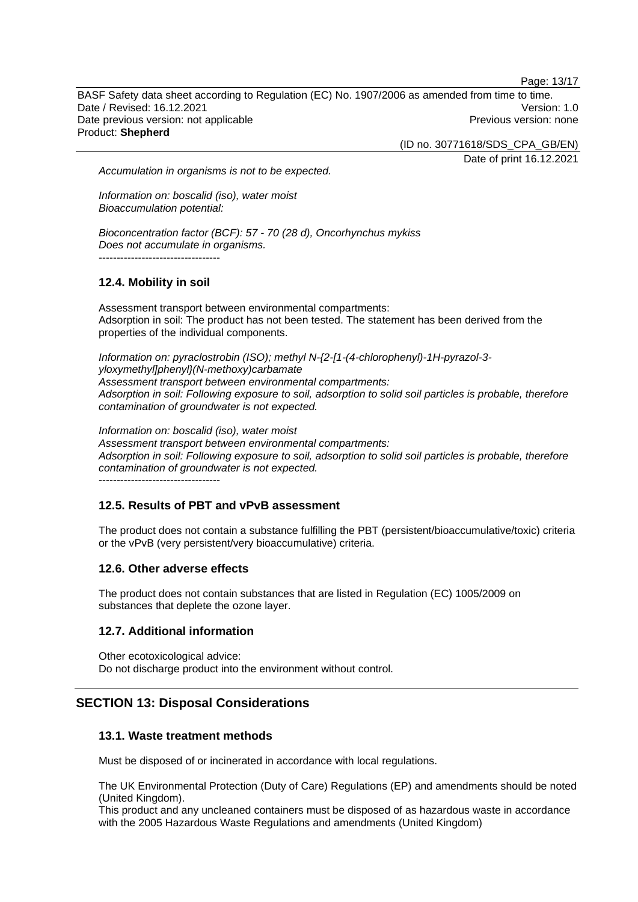Page: 13/17

BASF Safety data sheet according to Regulation (EC) No. 1907/2006 as amended from time to time. Date / Revised: 16.12.2021 Version: 1.0 Date previous version: not applicable example and the Previous version: none Product: **Shepherd** 

(ID no. 30771618/SDS\_CPA\_GB/EN)

Date of print 16.12.2021

*Accumulation in organisms is not to be expected.* 

*Information on: boscalid (iso), water moist Bioaccumulation potential:* 

*Bioconcentration factor (BCF): 57 - 70 (28 d), Oncorhynchus mykiss Does not accumulate in organisms.* 

----------------------------------

# **12.4. Mobility in soil**

Assessment transport between environmental compartments: Adsorption in soil: The product has not been tested. The statement has been derived from the properties of the individual components.

*Information on: pyraclostrobin (ISO); methyl N-{2-[1-(4-chlorophenyl)-1H-pyrazol-3 yloxymethyl]phenyl}(N-methoxy)carbamate Assessment transport between environmental compartments: Adsorption in soil: Following exposure to soil, adsorption to solid soil particles is probable, therefore contamination of groundwater is not expected.*

*Information on: boscalid (iso), water moist Assessment transport between environmental compartments: Adsorption in soil: Following exposure to soil, adsorption to solid soil particles is probable, therefore contamination of groundwater is not expected.*

----------------------------------

# **12.5. Results of PBT and vPvB assessment**

The product does not contain a substance fulfilling the PBT (persistent/bioaccumulative/toxic) criteria or the vPvB (very persistent/very bioaccumulative) criteria.

# **12.6. Other adverse effects**

The product does not contain substances that are listed in Regulation (EC) 1005/2009 on substances that deplete the ozone layer.

# **12.7. Additional information**

Other ecotoxicological advice: Do not discharge product into the environment without control.

# **SECTION 13: Disposal Considerations**

# **13.1. Waste treatment methods**

Must be disposed of or incinerated in accordance with local regulations.

The UK Environmental Protection (Duty of Care) Regulations (EP) and amendments should be noted (United Kingdom).

This product and any uncleaned containers must be disposed of as hazardous waste in accordance with the 2005 Hazardous Waste Regulations and amendments (United Kingdom)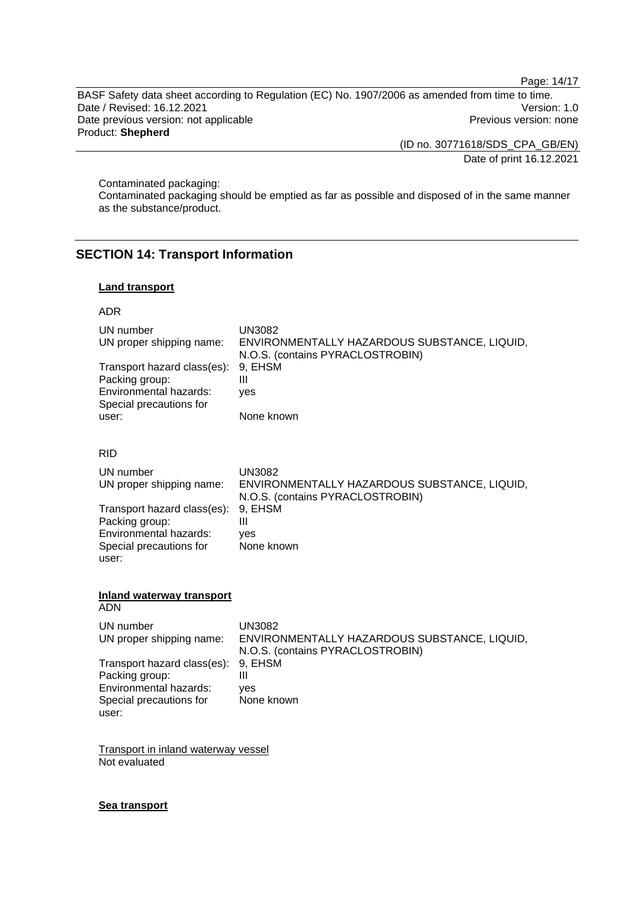Page: 14/17

BASF Safety data sheet according to Regulation (EC) No. 1907/2006 as amended from time to time. Date / Revised: 16.12.2021 Version: 1.0 Date previous version: not applicable **Previous version: none** Previous version: none Product: **Shepherd** 

(ID no. 30771618/SDS\_CPA\_GB/EN)

Date of print 16.12.2021

Contaminated packaging:

Contaminated packaging should be emptied as far as possible and disposed of in the same manner as the substance/product.

# **SECTION 14: Transport Information**

# **Land transport**

# ADR

| UN number<br>UN proper shipping name:<br>Transport hazard class(es):<br>Packing group:<br>Environmental hazards:<br>Special precautions for<br>user: | <b>UN3082</b><br>ENVIRONMENTALLY HAZARDOUS SUBSTANCE, LIQUID,<br>N.O.S. (contains PYRACLOSTROBIN)<br>9, EHSM<br>$\mathbf{III}$<br>yes<br>None known |
|------------------------------------------------------------------------------------------------------------------------------------------------------|-----------------------------------------------------------------------------------------------------------------------------------------------------|
| <b>RID</b>                                                                                                                                           |                                                                                                                                                     |
| UN number<br>UN proper shipping name:<br>Transport hazard class(es):<br>Packing group:<br>Environmental hazards:<br>Special precautions for          | <b>UN3082</b><br>ENVIRONMENTALLY HAZARDOUS SUBSTANCE, LIQUID,<br>N.O.S. (contains PYRACLOSTROBIN)<br>9, EHSM<br>$\mathbf{III}$<br>ves<br>None known |
| user:                                                                                                                                                |                                                                                                                                                     |
| <b>Inland waterway transport</b><br><b>ADN</b>                                                                                                       |                                                                                                                                                     |
| UN number<br>UN proper shipping name:                                                                                                                | <b>UN3082</b><br>ENVIRONMENTALLY HAZARDOUS SUBSTANCE, LIQUID,<br>N.O.S. (contains PYRACLOSTROBIN)                                                   |
| Transport hazard class(es):<br>Packing group:<br>Environmental hazards:<br>Special precautions for<br>user:                                          | 9, EHSM<br>$\mathbf{III}$<br>ves<br>None known                                                                                                      |
| <b>Transport in inland waterway vessel</b><br>Not evaluated                                                                                          |                                                                                                                                                     |

# **Sea transport**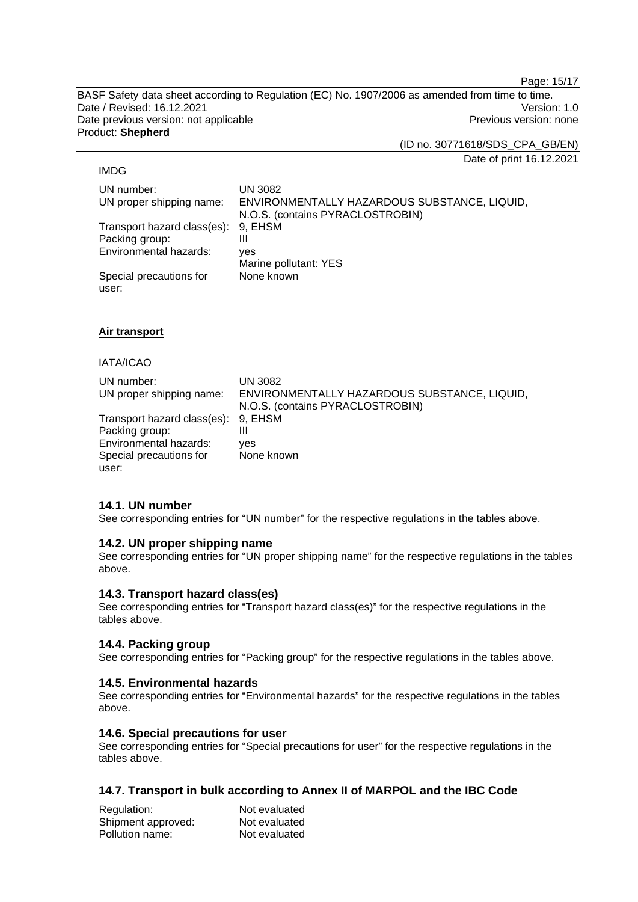Page: 15/17

BASF Safety data sheet according to Regulation (EC) No. 1907/2006 as amended from time to time. Date / Revised: 16.12.2021 Version: 1.0 Date previous version: not applicable **Previous version: none** Previous version: none Product: **Shepherd** 

(ID no. 30771618/SDS\_CPA\_GB/EN)

Date of print 16.12.2021

### IMDG

UN number: UN 3082 UN proper shipping name: ENVIRONMENTALLY HAZARDOUS SUBSTANCE, LIQUID, N.O.S. (contains PYRACLOSTROBIN) Transport hazard class(es): 9, EHSM Packing group: III Environmental hazards: yes Marine pollutant: YES Special precautions for user: None known

# **Air transport**

### IATA/ICAO

| UN number:                          | UN 3082                                      |
|-------------------------------------|----------------------------------------------|
| UN proper shipping name:            | ENVIRONMENTALLY HAZARDOUS SUBSTANCE, LIQUID, |
|                                     | N.O.S. (contains PYRACLOSTROBIN)             |
| Transport hazard class(es): 9, EHSM |                                              |
| Packing group:                      | Ш                                            |
| Environmental hazards:              | yes                                          |
| Special precautions for             | None known                                   |
| user:                               |                                              |

# **14.1. UN number**

See corresponding entries for "UN number" for the respective regulations in the tables above.

# **14.2. UN proper shipping name**

See corresponding entries for "UN proper shipping name" for the respective regulations in the tables above.

# **14.3. Transport hazard class(es)**

See corresponding entries for "Transport hazard class(es)" for the respective regulations in the tables above.

# **14.4. Packing group**

See corresponding entries for "Packing group" for the respective regulations in the tables above.

# **14.5. Environmental hazards**

See corresponding entries for "Environmental hazards" for the respective regulations in the tables above.

# **14.6. Special precautions for user**

See corresponding entries for "Special precautions for user" for the respective regulations in the tables above.

# **14.7. Transport in bulk according to Annex II of MARPOL and the IBC Code**

| Regulation:        | Not evaluated |
|--------------------|---------------|
| Shipment approved: | Not evaluated |
| Pollution name:    | Not evaluated |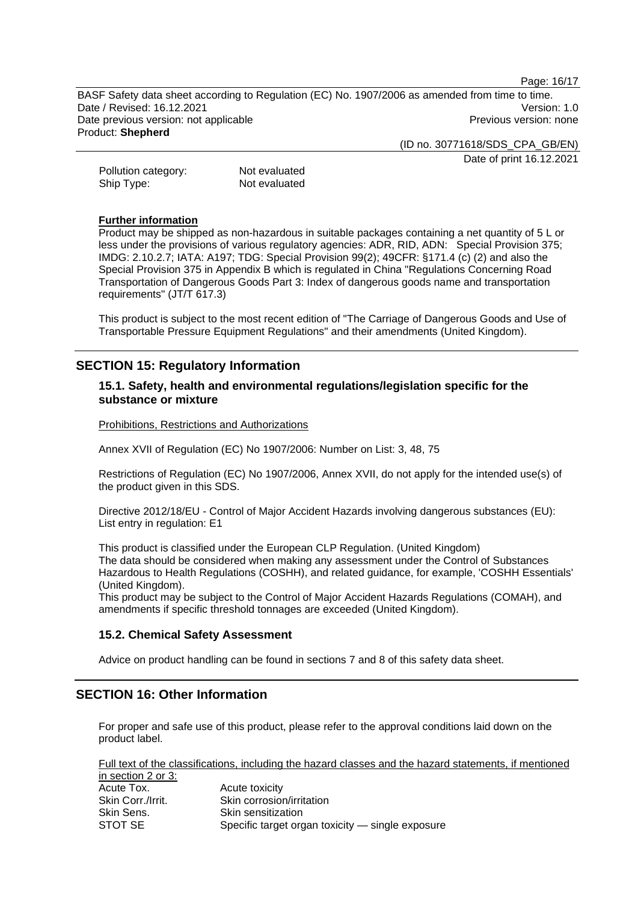Page: 16/17

BASF Safety data sheet according to Regulation (EC) No. 1907/2006 as amended from time to time. Date / Revised: 16.12.2021 Version: 1.0 Date previous version: not applicable example and the Previous version: none Product: **Shepherd** 

(ID no. 30771618/SDS\_CPA\_GB/EN)

Date of print 16.12.2021

Pollution category: Not evaluated Ship Type: Not evaluated

### **Further information**

Product may be shipped as non-hazardous in suitable packages containing a net quantity of 5 L or less under the provisions of various regulatory agencies: ADR, RID, ADN: Special Provision 375; IMDG: 2.10.2.7; IATA: A197; TDG: Special Provision 99(2); 49CFR: §171.4 (c) (2) and also the Special Provision 375 in Appendix B which is regulated in China "Regulations Concerning Road Transportation of Dangerous Goods Part 3: Index of dangerous goods name and transportation requirements" (JT/T 617.3)

This product is subject to the most recent edition of "The Carriage of Dangerous Goods and Use of Transportable Pressure Equipment Regulations" and their amendments (United Kingdom).

# **SECTION 15: Regulatory Information**

# **15.1. Safety, health and environmental regulations/legislation specific for the substance or mixture**

Prohibitions, Restrictions and Authorizations

Annex XVII of Regulation (EC) No 1907/2006: Number on List: 3, 48, 75

Restrictions of Regulation (EC) No 1907/2006, Annex XVII, do not apply for the intended use(s) of the product given in this SDS.

Directive 2012/18/EU - Control of Major Accident Hazards involving dangerous substances (EU): List entry in regulation: E1

This product is classified under the European CLP Regulation. (United Kingdom) The data should be considered when making any assessment under the Control of Substances Hazardous to Health Regulations (COSHH), and related guidance, for example, 'COSHH Essentials' (United Kingdom).

This product may be subject to the Control of Major Accident Hazards Regulations (COMAH), and amendments if specific threshold tonnages are exceeded (United Kingdom).

# **15.2. Chemical Safety Assessment**

Advice on product handling can be found in sections 7 and 8 of this safety data sheet.

# **SECTION 16: Other Information**

For proper and safe use of this product, please refer to the approval conditions laid down on the product label.

Full text of the classifications, including the hazard classes and the hazard statements, if mentioned in section 2 or 3: Acute Tox. Acute toxicity Skin Corr./Irrit. Skin corrosion/irritation

| Skin Corr./Irrit. | Skin corrosion/irritation                        |
|-------------------|--------------------------------------------------|
| Skin Sens.        | <b>Skin sensitization</b>                        |
| STOT SE           | Specific target organ toxicity — single exposure |